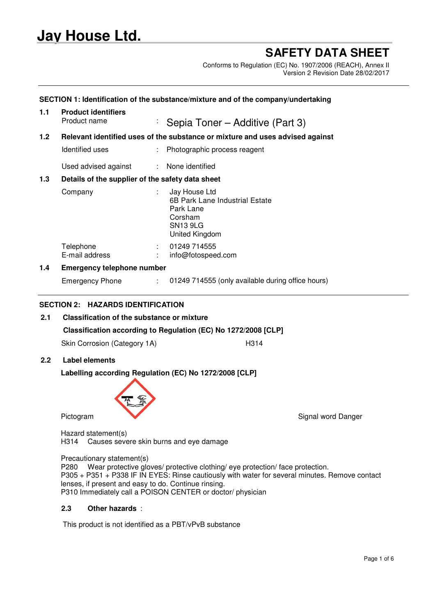# **Jay House Ltd.**

## **SAFETY DATA SHEET**

Conforms to Regulation (EC) No. 1907/2006 (REACH), Annex II Version 2 Revision Date 28/02/2017

| 1.1 | <b>Product identifiers</b>                                                                                                    |    |                                                   |  |  |
|-----|-------------------------------------------------------------------------------------------------------------------------------|----|---------------------------------------------------|--|--|
|     | Product name                                                                                                                  | ÷, | Sepia Toner – Additive (Part 3)                   |  |  |
| 1.2 | Relevant identified uses of the substance or mixture and uses advised against                                                 |    |                                                   |  |  |
|     | Identified uses                                                                                                               |    | : Photographic process reagent                    |  |  |
|     | Used advised against : None identified                                                                                        |    |                                                   |  |  |
| 1.3 | Details of the supplier of the safety data sheet                                                                              |    |                                                   |  |  |
|     | Jay House Ltd<br>Company<br>÷.<br>6B Park Lane Industrial Estate<br>Park Lane<br>Corsham<br><b>SN13 9LG</b><br>United Kingdom |    |                                                   |  |  |
|     | Telephone<br>E-mail address                                                                                                   |    | 01249 714555<br>info@fotospeed.com                |  |  |
| 1.4 | <b>Emergency telephone number</b>                                                                                             |    |                                                   |  |  |
|     | <b>Emergency Phone</b>                                                                                                        | ÷. | 01249 714555 (only available during office hours) |  |  |

## **SECTION 2: HAZARDS IDENTIFICATION**

- **2.1 Classification of the substance or mixture Classification according to Regulation (EC) No 1272/2008 [CLP]** Skin Corrosion (Category 1A) H314
- **2.2 Label elements**

## **Labelling according Regulation (EC) No 1272/2008 [CLP]**



Pictogram Signal word Danger

Hazard statement(s) H314 Causes severe skin burns and eye damage

Precautionary statement(s)

P280 Wear protective gloves/ protective clothing/ eye protection/ face protection. P305 + P351 + P338 IF IN EYES: Rinse cautiously with water for several minutes. Remove contact lenses, if present and easy to do. Continue rinsing. P310 Immediately call a POISON CENTER or doctor/ physician

## **2.3 Other hazards** :

This product is not identified as a PBT/vPvB substance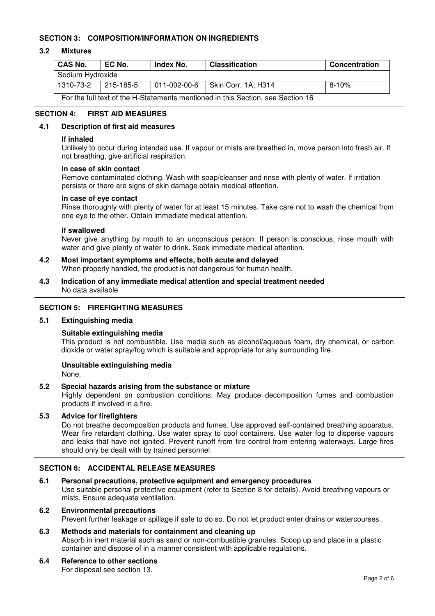## **SECTION 3: COMPOSITION/INFORMATION ON INGREDIENTS**

## **3.2 Mixtures**

| <b>CAS No.</b>                                                                  | EC No.    | Index No.              | <b>Classification</b> | Concentration |  |
|---------------------------------------------------------------------------------|-----------|------------------------|-----------------------|---------------|--|
| Sodium Hydroxide                                                                |           |                        |                       |               |  |
| 1310-73-2                                                                       | 215-185-5 | $ 011 - 002 - 00 - 6 $ | Skin Corr. 1A; H314   | 8-10%         |  |
| For the full text of the H-Statements mentioned in this Section, see Section 16 |           |                        |                       |               |  |

## **SECTION 4: FIRST AID MEASURES**

## **4.1 Description of first aid measures**

#### **If inhaled**

Unlikely to occur during intended use. If vapour or mists are breathed in, move person into fresh air. If not breathing, give artificial respiration.

## **In case of skin contact**

Remove contaminated clothing. Wash with soap/cleanser and rinse with plenty of water. If irritation persists or there are signs of skin damage obtain medical attention.

#### **In case of eye contact**

Rinse thoroughly with plenty of water for at least 15 minutes. Take care not to wash the chemical from one eye to the other. Obtain immediate medical attention.

#### **If swallowed**

Never give anything by mouth to an unconscious person. If person is conscious, rinse mouth with water and give plenty of water to drink. Seek immediate medical attention.

- **4.2 Most important symptoms and effects, both acute and delayed** When properly handled, the product is not dangerous for human health.
- **4.3 Indication of any immediate medical attention and special treatment needed** No data available

## **SECTION 5: FIREFIGHTING MEASURES**

#### **5.1 Extinguishing media**

## **Suitable extinguishing media**

This product is not combustible. Use media such as alcohol/aqueous foam, dry chemical, or carbon dioxide or water spray/fog which is suitable and appropriate for any surrounding fire.

## **Unsuitable extinguishing media**

None.

## **5.2 Special hazards arising from the substance or mixture**

Highly dependent on combustion conditions. May produce decomposition fumes and combustion products if involved in a fire.

## **5.3 Advice for firefighters**

Do not breathe decomposition products and fumes. Use approved self-contained breathing apparatus. Wear fire retardant clothing. Use water spray to cool containers. Use water fog to disperse vapours and leaks that have not ignited. Prevent runoff from fire control from entering waterways. Large fires should only be dealt with by trained personnel.

## **SECTION 6: ACCIDENTAL RELEASE MEASURES**

## **6.1 Personal precautions, protective equipment and emergency procedures**

Use suitable personal protective equipment (refer to Section 8 for details). Avoid breathing vapours or mists. Ensure adequate ventilation.

#### **6.2 Environmental precautions**

Prevent further leakage or spillage if safe to do so. Do not let product enter drains or watercourses.

## **6.3 Methods and materials for containment and cleaning up**

Absorb in inert material such as sand or non-combustible granules. Scoop up and place in a plastic container and dispose of in a manner consistent with applicable regulations.

## **6.4 Reference to other sections**

For disposal see section 13.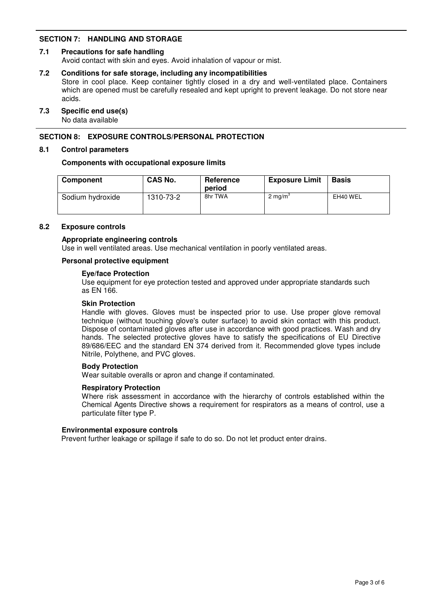## **SECTION 7: HANDLING AND STORAGE**

## **7.1 Precautions for safe handling**

Avoid contact with skin and eyes. Avoid inhalation of vapour or mist.

#### **7.2 Conditions for safe storage, including any incompatibilities**

Store in cool place. Keep container tightly closed in a dry and well-ventilated place. Containers which are opened must be carefully resealed and kept upright to prevent leakage. Do not store near acids.

#### **7.3 Specific end use(s)**

No data available

## **SECTION 8: EXPOSURE CONTROLS/PERSONAL PROTECTION**

#### **8.1 Control parameters**

## **Components with occupational exposure limits**

| Component        | <b>CAS No.</b> | Reference<br>period | <b>Exposure Limit</b> | <b>Basis</b> |
|------------------|----------------|---------------------|-----------------------|--------------|
| Sodium hydroxide | 1310-73-2      | 8hr TWA             | 2 mg/m <sup>3</sup>   | EH40 WEL     |

## **8.2 Exposure controls**

#### **Appropriate engineering controls**

Use in well ventilated areas. Use mechanical ventilation in poorly ventilated areas.

## **Personal protective equipment**

#### **Eye/face Protection**

Use equipment for eye protection tested and approved under appropriate standards such as EN 166.

#### **Skin Protection**

Handle with gloves. Gloves must be inspected prior to use. Use proper glove removal technique (without touching glove's outer surface) to avoid skin contact with this product. Dispose of contaminated gloves after use in accordance with good practices. Wash and dry hands. The selected protective gloves have to satisfy the specifications of EU Directive 89/686/EEC and the standard EN 374 derived from it. Recommended glove types include Nitrile, Polythene, and PVC gloves.

## **Body Protection**

Wear suitable overalls or apron and change if contaminated.

## **Respiratory Protection**

Where risk assessment in accordance with the hierarchy of controls established within the Chemical Agents Directive shows a requirement for respirators as a means of control, use a particulate filter type P.

#### **Environmental exposure controls**

Prevent further leakage or spillage if safe to do so. Do not let product enter drains.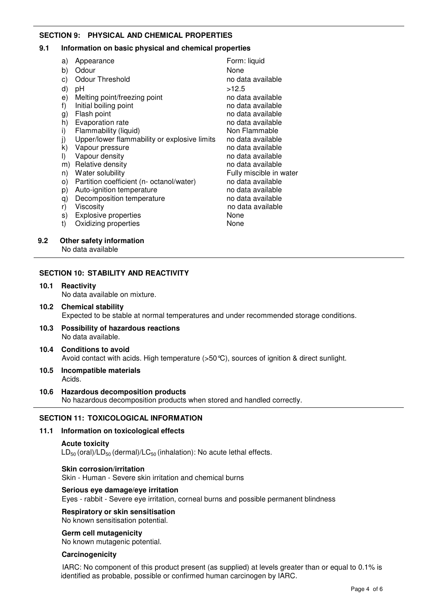## **SECTION 9: PHYSICAL AND CHEMICAL PROPERTIES**

## **9.1 Information on basic physical and chemical properties**

|     | a)      | Appearance                                   | Form: liquid            |
|-----|---------|----------------------------------------------|-------------------------|
|     | b)      | Odour                                        | None                    |
|     | c)      | <b>Odour Threshold</b>                       | no data available       |
|     | d)      | рH                                           | >12.5                   |
|     | e)      | Melting point/freezing point                 | no data available       |
|     | f)      | Initial boiling point                        | no data available       |
|     | g)      | Flash point                                  | no data available       |
|     | h)      | Evaporation rate                             | no data available       |
|     | i)      | Flammability (liquid)                        | Non Flammable           |
|     | j)      | Upper/lower flammability or explosive limits | no data available       |
|     | k)      | Vapour pressure                              | no data available       |
|     | $\vert$ | Vapour density                               | no data available       |
|     | m)      | Relative density                             | no data available       |
|     | n)      | Water solubility                             | Fully miscible in water |
|     | O)      | Partition coefficient (n- octanol/water)     | no data available       |
|     | p)      | Auto-ignition temperature                    | no data available       |
|     | q)      | Decomposition temperature                    | no data available       |
|     | r)      | Viscosity                                    | no data available       |
|     | s)      | <b>Explosive properties</b>                  | None                    |
|     | t)      | Oxidizing properties                         | None                    |
| 9.2 |         | Other safety information                     |                         |

## **SECTION 10: STABILITY AND REACTIVITY**

**10.1 Reactivity** No data available on mixture.

No data available

- **10.2 Chemical stability** Expected to be stable at normal temperatures and under recommended storage conditions.
- **10.3 Possibility of hazardous reactions** No data available.
- **10.4 Conditions to avoid** Avoid contact with acids. High temperature (>50°C), sources of ignition & direct sunlight.
- **10.5 Incompatible materials** Acids.
- **10.6 Hazardous decomposition products** No hazardous decomposition products when stored and handled correctly.

## **SECTION 11: TOXICOLOGICAL INFORMATION**

## **11.1 Information on toxicological effects**

#### **Acute toxicity**

 $LD_{50}$  (oral)/LD<sub>50</sub> (dermal)/LC<sub>50</sub> (inhalation): No acute lethal effects.

#### **Skin corrosion/irritation** Skin - Human - Severe skin irritation and chemical burns

## **Serious eye damage/eye irritation**

Eyes - rabbit - Severe eye irritation, corneal burns and possible permanent blindness

## **Respiratory or skin sensitisation**

No known sensitisation potential.

## **Germ cell mutagenicity**

No known mutagenic potential.

#### **Carcinogenicity**

IARC: No component of this product present (as supplied) at levels greater than or equal to 0.1% is identified as probable, possible or confirmed human carcinogen by IARC.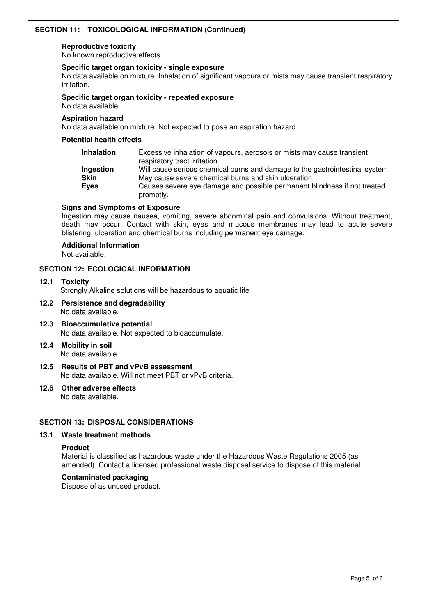## **SECTION 11: TOXICOLOGICAL INFORMATION (Continued)**

#### **Reproductive toxicity**

No known reproductive effects

## **Specific target organ toxicity - single exposure**

No data available on mixture. Inhalation of significant vapours or mists may cause transient respiratory irritation.

#### **Specific target organ toxicity - repeated exposure**

No data available.

#### **Aspiration hazard**

No data available on mixture. Not expected to pose an aspiration hazard.

## **Potential health effects**

| <b>Inhalation</b>                | Excessive inhalation of vapours, aerosols or mists may cause transient<br>respiratory tract irritation.                                                                                                                      |
|----------------------------------|------------------------------------------------------------------------------------------------------------------------------------------------------------------------------------------------------------------------------|
| Ingestion<br><b>Skin</b><br>Eyes | Will cause serious chemical burns and damage to the gastrointestinal system.<br>May cause severe chemical burns and skin ulceration<br>Causes severe eye damage and possible permanent blindness if not treated<br>promptly. |

## **Signs and Symptoms of Exposure**

Ingestion may cause nausea, vomiting, severe abdominal pain and convulsions. Without treatment, death may occur. Contact with skin, eyes and mucous membranes may lead to acute severe blistering, ulceration and chemical burns including permanent eye damage.

## **Additional Information**

Not available.

## **SECTION 12: ECOLOGICAL INFORMATION**

**12.1 Toxicity**

Strongly Alkaline solutions will be hazardous to aquatic life

- **12.2 Persistence and degradability** No data available.
- **12.3 Bioaccumulative potential** No data available. Not expected to bioaccumulate.
- **12.4 Mobility in soil** No data available.
- **12.5 Results of PBT and vPvB assessment** No data available. Will not meet PBT or vPvB criteria.
- **12.6 Other adverse effects** No data available.

## **SECTION 13: DISPOSAL CONSIDERATIONS**

## **13.1 Waste treatment methods**

#### **Product**

Material is classified as hazardous waste under the Hazardous Waste Regulations 2005 (as amended). Contact a licensed professional waste disposal service to dispose of this material.

## **Contaminated packaging**

Dispose of as unused product.